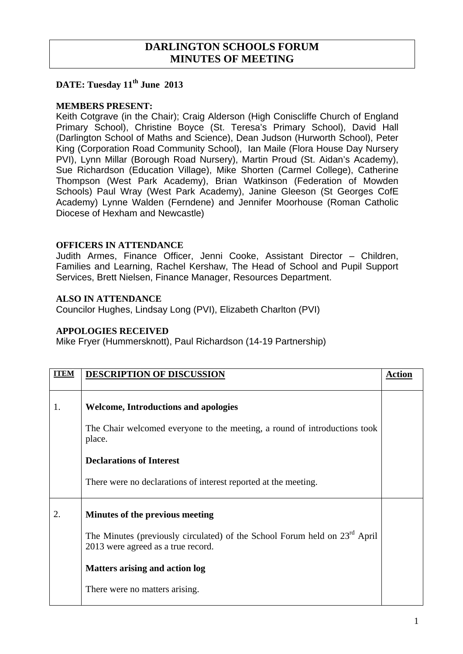# **DARLINGTON SCHOOLS FORUM MINUTES OF MEETING**

## **DATE: Tuesday 11<sup>th</sup> June 2013**

#### **MEMBERS PRESENT:**

Keith Cotgrave (in the Chair); Craig Alderson (High Coniscliffe Church of England Primary School), Christine Boyce (St. Teresa's Primary School), David Hall (Darlington School of Maths and Science), Dean Judson (Hurworth School), Peter King (Corporation Road Community School), Ian Maile (Flora House Day Nursery PVI), Lynn Millar (Borough Road Nursery), Martin Proud (St. Aidan's Academy), Sue Richardson (Education Village), Mike Shorten (Carmel College), Catherine Thompson (West Park Academy), Brian Watkinson (Federation of Mowden Schools) Paul Wray (West Park Academy), Janine Gleeson (St Georges CofE Academy) Lynne Walden (Ferndene) and Jennifer Moorhouse (Roman Catholic Diocese of Hexham and Newcastle)

## **OFFICERS IN ATTENDANCE**

Judith Armes, Finance Officer, Jenni Cooke, Assistant Director – Children, Families and Learning, Rachel Kershaw, The Head of School and Pupil Support Services, Brett Nielsen, Finance Manager, Resources Department.

## **ALSO IN ATTENDANCE**

Councilor Hughes, Lindsay Long (PVI), Elizabeth Charlton (PVI)

#### **APPOLOGIES RECEIVED**

Mike Fryer (Hummersknott), Paul Richardson (14-19 Partnership)

| <b>ITEM</b> | <b>DESCRIPTION OF DISCUSSION</b>                                                                                             | <b>Action</b> |
|-------------|------------------------------------------------------------------------------------------------------------------------------|---------------|
| 1.          | <b>Welcome, Introductions and apologies</b>                                                                                  |               |
|             | The Chair welcomed everyone to the meeting, a round of introductions took<br>place.                                          |               |
|             | <b>Declarations of Interest</b>                                                                                              |               |
|             | There were no declarations of interest reported at the meeting.                                                              |               |
| 2.          | Minutes of the previous meeting                                                                                              |               |
|             | The Minutes (previously circulated) of the School Forum held on 23 <sup>rd</sup> April<br>2013 were agreed as a true record. |               |
|             | <b>Matters arising and action log</b>                                                                                        |               |
|             | There were no matters arising.                                                                                               |               |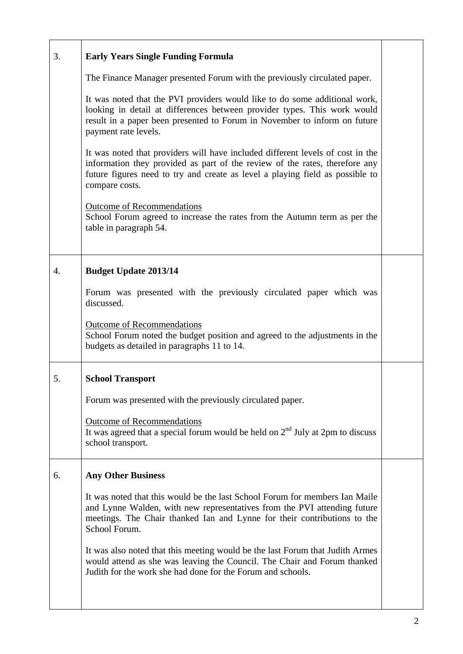| 3. | <b>Early Years Single Funding Formula</b>                                                                                                                                                                                                                        |  |
|----|------------------------------------------------------------------------------------------------------------------------------------------------------------------------------------------------------------------------------------------------------------------|--|
|    | The Finance Manager presented Forum with the previously circulated paper.                                                                                                                                                                                        |  |
|    | It was noted that the PVI providers would like to do some additional work,<br>looking in detail at differences between provider types. This work would<br>result in a paper been presented to Forum in November to inform on future<br>payment rate levels.      |  |
|    | It was noted that providers will have included different levels of cost in the<br>information they provided as part of the review of the rates, therefore any<br>future figures need to try and create as level a playing field as possible to<br>compare costs. |  |
|    | <b>Outcome of Recommendations</b><br>School Forum agreed to increase the rates from the Autumn term as per the<br>table in paragraph 54.                                                                                                                         |  |
| 4. | <b>Budget Update 2013/14</b>                                                                                                                                                                                                                                     |  |
|    | Forum was presented with the previously circulated paper which was<br>discussed.                                                                                                                                                                                 |  |
|    | Outcome of Recommendations<br>School Forum noted the budget position and agreed to the adjustments in the<br>budgets as detailed in paragraphs 11 to 14.                                                                                                         |  |
| 5. | <b>School Transport</b>                                                                                                                                                                                                                                          |  |
|    | Forum was presented with the previously circulated paper.                                                                                                                                                                                                        |  |
|    | <b>Outcome of Recommendations</b><br>It was agreed that a special forum would be held on $2nd$ July at 2pm to discuss<br>school transport.                                                                                                                       |  |
| 6. | <b>Any Other Business</b>                                                                                                                                                                                                                                        |  |
|    | It was noted that this would be the last School Forum for members Ian Maile<br>and Lynne Walden, with new representatives from the PVI attending future<br>meetings. The Chair thanked Ian and Lynne for their contributions to the<br>School Forum.             |  |
|    | It was also noted that this meeting would be the last Forum that Judith Armes<br>would attend as she was leaving the Council. The Chair and Forum thanked<br>Judith for the work she had done for the Forum and schools.                                         |  |
|    |                                                                                                                                                                                                                                                                  |  |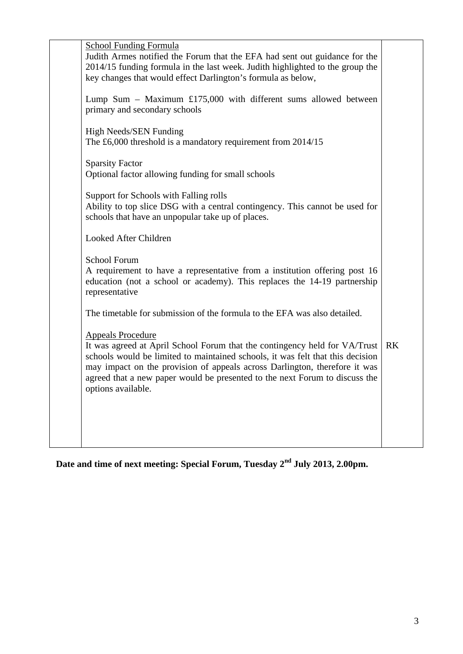| <b>School Funding Formula</b><br>Judith Armes notified the Forum that the EFA had sent out guidance for the<br>2014/15 funding formula in the last week. Judith highlighted to the group the<br>key changes that would effect Darlington's formula as below,                                                                                                                |           |
|-----------------------------------------------------------------------------------------------------------------------------------------------------------------------------------------------------------------------------------------------------------------------------------------------------------------------------------------------------------------------------|-----------|
| Lump Sum – Maximum £175,000 with different sums allowed between<br>primary and secondary schools                                                                                                                                                                                                                                                                            |           |
| High Needs/SEN Funding<br>The £6,000 threshold is a mandatory requirement from $2014/15$                                                                                                                                                                                                                                                                                    |           |
| <b>Sparsity Factor</b><br>Optional factor allowing funding for small schools                                                                                                                                                                                                                                                                                                |           |
| Support for Schools with Falling rolls<br>Ability to top slice DSG with a central contingency. This cannot be used for<br>schools that have an unpopular take up of places.                                                                                                                                                                                                 |           |
| Looked After Children                                                                                                                                                                                                                                                                                                                                                       |           |
| <b>School Forum</b><br>A requirement to have a representative from a institution offering post 16<br>education (not a school or academy). This replaces the 14-19 partnership<br>representative                                                                                                                                                                             |           |
| The timetable for submission of the formula to the EFA was also detailed.                                                                                                                                                                                                                                                                                                   |           |
| <b>Appeals Procedure</b><br>It was agreed at April School Forum that the contingency held for VA/Trust<br>schools would be limited to maintained schools, it was felt that this decision<br>may impact on the provision of appeals across Darlington, therefore it was<br>agreed that a new paper would be presented to the next Forum to discuss the<br>options available. | <b>RK</b> |
|                                                                                                                                                                                                                                                                                                                                                                             |           |

**Date and time of next meeting: Special Forum, Tuesday 2nd July 2013, 2.00pm.**